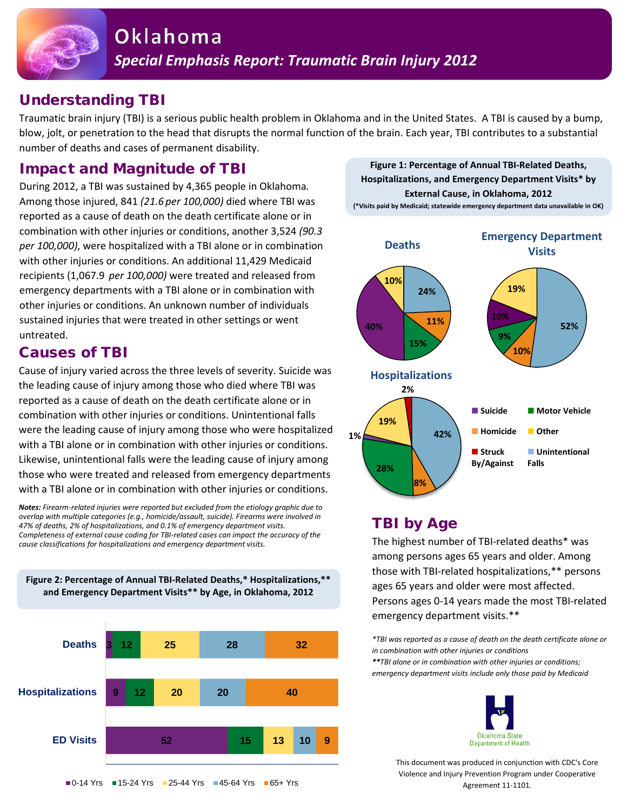

## Understanding TBI

Traumatic brain injury (TBI) is a serious public health problem in Oklahoma and in the United States. A TBI is caused by a bump, blow, jolt, or penetration to the head that disrupts the normal function of the brain. Each year, TBI contributes to a substantial number of deaths and cases of permanent disability.

### Impact and Magnitude of TBI

During 2012, a TBI was sustained by 4,365 people in Oklahoma*.* Among those injured, 841 *(21.6 per 100,000)* died where TBI was reported as a cause of death on the death certificate alone or in combination with other injuries or conditions, another 3,524 *(90.3 per 100,000)*, were hospitalized with a TBI alone or in combination with other injuries or conditions. An additional 11,429 Medicaid recipients (1,067.9 *per 100,000)* were treated and released from emergency departments with a TBI alone or in combination with other injuries or conditions. An unknown number of individuals sustained injuries that were treated in other settings or went untreated.

### Causes of TBI

Cause of injury varied across the three levels of severity. Suicide was the leading cause of injury among those who died where TBI was reported as a cause of death on the death certificate alone or in combination with other injuries or conditions. Unintentional falls were the leading cause of injury among those who were hospitalized with a TBI alone or in combination with other injuries or conditions. Likewise, unintentional falls were the leading cause of injury among those who were treated and released from emergency departments with a TBI alone or in combination with other injuries or conditions.

*Notes: Firearm-related injuries were reported but excluded from the etiology graphic due to overlap with multiple categories (e.g., homicide/assault, suicide). Firearms were involved in 47% of deaths, 2% of hospitalizations, and 0.1% of emergency department visits. Completeness of external cause coding for TBI-related cases can impact the accuracy of the cause classifications for hospitalizations and emergency department visits.* 

**Figure 2: Percentage of Annual TBI-Related Deaths,\* Hospitalizations,\*\* and Emergency Department Visits\*\* by Age, in Oklahoma, 2012**



**Figure 1: Percentage of Annual TBI-Related Deaths, Hospitalizations, and Emergency Department Visits\* by External Cause, in Oklahoma, 2012 (\*Visits paid by Medicaid; statewide emergency department data unavailable in OK)**



# TBI by Age

The highest number of TBI-related deaths\* was among persons ages 65 years and older. Among those with TBI-related hospitalizations,\*\* persons ages 65 years and older were most affected. Persons ages 0-14 years made the most TBI-related emergency department visits.\*\*

*\*TBI was reported as a cause of death on the death certificate alone or in combination with other injuries or conditions \*\*TBI alone or in combination with other injuries or conditions; emergency department visits include only those paid by Medicaid*



This document was produced in conjunction with CDC's Core Violence and Injury Prevention Program under Cooperative Agreement 11-1101.